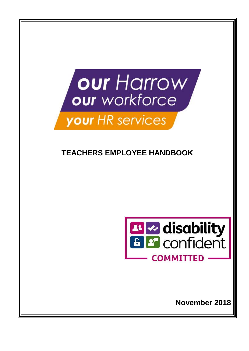

# **TEACHERS EMPLOYEE HANDBOOK**



**November 2018**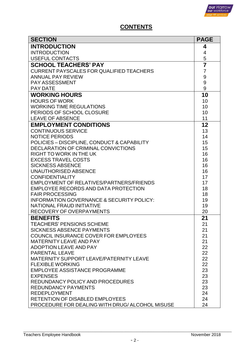

# **CONTENTS**

| <b>SECTION</b>                                                     | <b>PAGE</b>      |
|--------------------------------------------------------------------|------------------|
| <b>INTRODUCTION</b>                                                | 4                |
| <b>INTRODUCTION</b>                                                | $\overline{4}$   |
| <b>USEFUL CONTACTS</b>                                             | 5                |
| <b>SCHOOL TEACHERS' PAY</b>                                        | $\overline{7}$   |
| <b>CURRENT PAYSCALES FOR QUALIFIED TEACHERS</b>                    | $\overline{7}$   |
| <b>ANNUAL PAY REVIEW</b>                                           | 9                |
| <b>PAY ASSESSMENT</b>                                              | $\boldsymbol{9}$ |
| <b>PAY DATE</b>                                                    | 9                |
| <b>WORKING HOURS</b><br><b>HOURS OF WORK</b>                       | 10               |
| <b>WORKING TIME REGULATIONS</b>                                    | 10<br>10         |
| PERIODS OF SCHOOL CLOSURE                                          | 10               |
| <b>LEAVE OF ABSENCE</b>                                            | 11               |
| <b>EMPLOYMENT CONDITIONS</b>                                       | 12               |
| <b>CONTINUOUS SERVICE</b>                                          | 13               |
| <b>NOTICE PERIODS</b>                                              | 14               |
| POLICIES - DISCIPLINE, CONDUCT & CAPABILITY                        | 15               |
| DECLARATION OF CRIMINAL CONVICTIONS                                | 15               |
| <b>RIGHT TO WORK IN THE UK</b>                                     | 16               |
| <b>EXCESS TRAVEL COSTS</b>                                         | 16               |
| <b>SICKNESS ABSENCE</b>                                            | 16               |
| <b>UNAUTHORISED ABSENCE</b>                                        | 16               |
| <b>CONFIDENTIALITY</b><br>EMPLOYMENT OF RELATIVES/PARTNERS/FRIENDS | 17<br>17         |
| <b>EMPLOYEE RECORDS AND DATA PROTECTION</b>                        | 18               |
| <b>FAIR PROCESSING</b>                                             | 18               |
| <b>INFORMATION GOVERNANCE &amp; SECURITY POLICY:</b>               | 19               |
| <b>NATIONAL FRAUD INITIATIVE</b>                                   | 19               |
| <b>RECOVERY OF OVERPAYMENTS</b>                                    | 20               |
| <b>BENEFITS</b>                                                    | 21               |
| TEACHERS' PENSIONS SCHEME                                          | 21               |
| <b>SICKNESS ABSENCE PAYMENTS</b>                                   | 21               |
| COUNCIL INSURANCE COVER FOR EMPLOYEES                              | 21               |
| <b>MATERNITY LEAVE AND PAY</b>                                     | 21               |
| <b>ADOPTION LEAVE AND PAY</b><br><b>PARENTAL LEAVE</b>             | 22               |
| <b>MATERNITY SUPPORT LEAVE/PATERNITY LEAVE</b>                     | 22<br>22         |
| <b>FLEXIBLE WORKING</b>                                            | 22               |
| <b>EMPLOYEE ASSISTANCE PROGRAMME</b>                               | 23               |
| <b>EXPENSES</b>                                                    | 23               |
| REDUNDANCY POLICY AND PROCEDURES                                   | 23               |
| <b>REDUNDANCY PAYMENTS</b>                                         | 23               |
| <b>REDEPLOYMENT</b>                                                | 24               |
| <b>RETENTION OF DISABLED EMPLOYEES</b>                             | 24               |
| PROCEDURE FOR DEALING WITH DRUG/ALCOHOL MISUSE                     | 24               |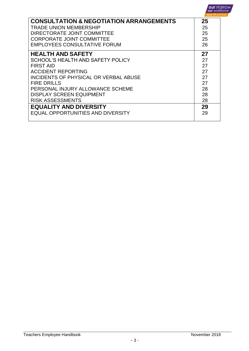|                                                    | <b>our</b> Harrow<br><b>our</b> workforce<br><b>your</b> HR services |
|----------------------------------------------------|----------------------------------------------------------------------|
| <b>CONSULTATION &amp; NEGOTIATION ARRANGEMENTS</b> | 25                                                                   |
| TRADE UNION MEMBERSHIP                             | 25                                                                   |
| DIRECTORATE JOINT COMMITTEE                        | 25                                                                   |
| <b>CORPORATE JOINT COMMITTEE</b>                   | 25                                                                   |
| <b>EMPLOYEES CONSULTATIVE FORUM</b>                | 26                                                                   |
| <b>HEALTH AND SAFETY</b>                           | 27                                                                   |
| SCHOOL'S HEALTH AND SAFETY POLICY                  | 27                                                                   |
| <b>FIRST AID</b>                                   | 27                                                                   |
| <b>ACCIDENT REPORTING</b>                          | 27                                                                   |
| <b>INCIDENTS OF PHYSICAL OR VERBAL ABUSE</b>       | 27                                                                   |
| <b>FIRE DRILLS</b>                                 | 27                                                                   |
| PERSONAL INJURY ALLOWANCE SCHEME                   | 28                                                                   |
| <b>DISPLAY SCREEN EQUIPMENT</b>                    | 28                                                                   |
| <b>RISK ASSESSMENTS</b>                            | 28                                                                   |
| <b>EQUALITY AND DIVERSITY</b>                      | 29                                                                   |
| EQUAL OPPORTUNITIES AND DIVERSITY                  | 29                                                                   |
|                                                    |                                                                      |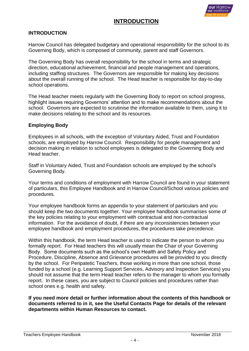

# **INTRODUCTION**

#### **INTRODUCTION**

Harrow Council has delegated budgetary and operational responsibility for the school to its Governing Body, which is composed of community, parent and staff Governors.

The Governing Body has overall responsibility for the school in terms and strategic direction, educational achievement, financial and people management and operations, including staffing structures. The Governors are responsible for making key decisions about the overall running of the school. The Head teacher is responsible for day-to-day school operations.

The Head teacher meets regularly with the Governing Body to report on school progress, highlight issues requiring Governors' attention and to make recommendations about the school. Governors are expected to scrutinise the information available to them, using it to make decisions relating to the school and its resources.

#### **Employing Body**

Employees in all schools, with the exception of Voluntary Aided, Trust and Foundation schools, are employed by Harrow Council. Responsibility for people management and decision making in relation to school employees is delegated to the Governing Body and Head teacher.

Staff in Voluntary Aided, Trust and Foundation schools are employed by the school's Governing Body.

Your terms and conditions of employment with Harrow Council are found in your statement of particulars, this Employee Handbook and in Harrow Council/School various policies and procedures.

Your employee handbook forms an appendix to your statement of particulars and you should keep the two documents together. Your employee handbook summarises some of the key policies relating to your employment with contractual and non-contractual information. For the avoidance of doubt, if there are any inconsistencies between your employee handbook and employment procedures, the procedures take precedence.

Within this handbook, the term Head teacher is used to indicate the person to whom you formally report. For Head teachers this will usually mean the Chair of your Governing Body. Some documents such as the school's own Health and Safety Policy and Procedure, Discipline, Absence and Grievance procedures will be provided to you directly by the school. For Peripatetic Teachers, those working in more than one school, those funded by a school (e.g. Learning Support Services, Advisory and Inspection Services) you should not assume that the term Head teacher refers to the manager to whom you formally report. In these cases, you are subject to Council policies and procedures rather than school ones e.g. health and safety.

**If you need more detail or further information about the contents of this handbook or documents referred to in it, see the Useful Contacts Page for details of the relevant departments within Human Resources to contact.**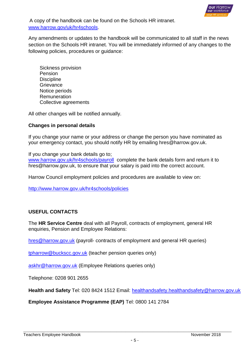

A copy of the handbook can be found on the Schools HR intranet. [www.harrow.gov/uk/hr4schools.](file:///C:/Users/LBarber/AppData/Local/Microsoft/Windows/Temporary%20Internet%20Files/AppData/Local/Packages/Microsoft.MicrosoftEdge_8wekyb3d8bbwe/TempState/Downloads/www.harrow.gov/uk/hr4schools)

Any amendments or updates to the handbook will be communicated to all staff in the news section on the Schools HR intranet. You will be immediately informed of any changes to the following policies, procedures or guidance:

Sickness provision Pension **Discipline Grievance** Notice periods Remuneration Collective agreements

All other changes will be notified annually.

#### **Changes in personal details**

If you change your name or your address or change the person you have nominated as your emergency contact, you should notify HR by emailing hres@harrow.gov.uk.

If you change your bank details go to; [www.harrow.gov.uk/hr4schools/payroll](file:///C:/Users/LBarber/AppData/Local/Microsoft/Windows/Temporary%20Internet%20Files/AppData/Local/Packages/Microsoft.MicrosoftEdge_8wekyb3d8bbwe/TempState/Downloads/www.harrow.gov.uk/hr4schools/payroll) complete the bank details form and return it to hres@harrow.gov.uk, to ensure that your salary is paid into the correct account.

Harrow Council employment policies and procedures are available to view on:

<http://www.harrow.gov.uk/hr4schools/policies>

## **USEFUL CONTACTS**

The **HR Service Centre** deal with all Payroll, contracts of employment, general HR enquiries, Pension and Employee Relations:

[hres@harrow.gov.uk](mailto:hres@harrow.gov.uk) (payroll- contracts of employment and general HR queries)

[tpharrow@buckscc.gov.uk](mailto:tpharrow@buckscc.gov.uk) (teacher pension queries only)

[askhr@harrow.gov.uk](mailto:askhr@harrow.gov.uk) (Employee Relations queries only)

Telephone: 0208 901 2655

**Health and Safety** Tel: 020 8424 1512 Email: [healthandsafety.healthandsafety@harrow.gov.uk](mailto:healthandsafety.healthandsafety@harrow.gov.uk)

**Employee Assistance Programme (EAP)** Tel: 0800 141 2784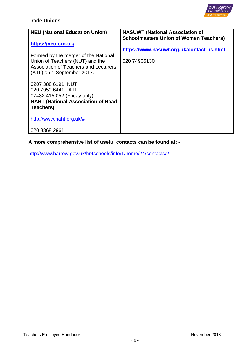

# **Trade Unions**

| <b>NEU (National Education Union)</b>                                                                                                   | <b>NASUWT (National Association of</b>                                                                     |
|-----------------------------------------------------------------------------------------------------------------------------------------|------------------------------------------------------------------------------------------------------------|
| https://neu.org.uk/<br>Formed by the merger of the National<br>Union of Teachers (NUT) and the<br>Association of Teachers and Lecturers | <b>Schoolmasters Union of Women Teachers)</b><br>https://www.nasuwt.org.uk/contact-us.html<br>020 74906130 |
| (ATL) on 1 September 2017.                                                                                                              |                                                                                                            |
| 0207 388 6191 NUT<br>020 7950 6441 ATL                                                                                                  |                                                                                                            |
| 07432 415 052 (Friday only)                                                                                                             |                                                                                                            |
| <b>NAHT (National Association of Head</b>                                                                                               |                                                                                                            |
| <b>Teachers)</b>                                                                                                                        |                                                                                                            |
| http://www.naht.org.uk/#                                                                                                                |                                                                                                            |
| 020 8868 2961                                                                                                                           |                                                                                                            |

# **A more comprehensive list of useful contacts can be found at: -**

<http://www.harrow.gov.uk/hr4schools/info/1/home/24/contacts/2>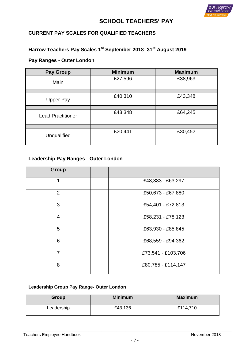

# **SCHOOL TEACHERS' PAY**

# **CURRENT PAY SCALES FOR QUALIFIED TEACHERS**

# **Harrow Teachers Pay Scales 1 st September 2018- 31st August 2019**

# **Pay Ranges - Outer London**

| <b>Pay Group</b>         | <b>Minimum</b> | <b>Maximum</b> |
|--------------------------|----------------|----------------|
| Main                     | £27,596        | £38,963        |
|                          |                |                |
| <b>Upper Pay</b>         | £40,310        | £43,348        |
|                          |                |                |
| <b>Lead Practitioner</b> | £43,348        | £64,245        |
|                          |                |                |
| Unqualified              | £20,441        | £30,452        |

# **Leadership Pay Ranges - Outer London**

| Group          |                    |
|----------------|--------------------|
| 1              | £48,383 - £63,297  |
| $\overline{2}$ | £50,673 - £67,880  |
| 3              | £54,401 - £72,813  |
| $\overline{4}$ | £58,231 - £78,123  |
| 5              | £63,930 - £85,845  |
| 6              | £68,559 - £94,362  |
| $\overline{7}$ | £73,541 - £103,706 |
| 8              | £80,785 - £114,147 |

# **Leadership Group Pay Range- Outer London**

| Group      | <b>Minimum</b> | <b>Maximum</b> |
|------------|----------------|----------------|
| Leadership | £43,136        | £114,710       |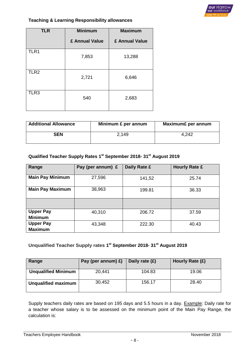

#### **Teaching & Learning Responsibility allowances**

| <b>TLR</b>       | <b>Minimum</b> | <b>Maximum</b> |
|------------------|----------------|----------------|
|                  | £ Annual Value | £ Annual Value |
| TLR1             | 7,853          | 13,288         |
| TLR <sub>2</sub> | 2,721          | 6,646          |
| TLR3             | 540            | 2,683          |

| <b>Additional Allowance</b> | Minimum £ per annum | Maximum£ per annum |
|-----------------------------|---------------------|--------------------|
| <b>SEN</b>                  | 2.149               | 4,242              |

#### **Qualified Teacher Supply Rates 1 st September 2018- 31st August 2019**

| Range                              | Pay (per annum) £ | Daily Rate £ | <b>Hourly Rate £</b> |
|------------------------------------|-------------------|--------------|----------------------|
| <b>Main Pay Minimum</b>            | 27,596            | 141,52       | 25.74                |
| <b>Main Pay Maximum</b>            | 38,963            | 199.81       | 36.33                |
|                                    |                   |              |                      |
| <b>Upper Pay</b><br><b>Minimum</b> | 40,310            | 206.72       | 37.59                |
| <b>Upper Pay</b><br><b>Maximum</b> | 43,348            | 222.30       | 40.43                |

#### **Unqualified Teacher Supply rates 1 st September 2018- 31st August 2019**

| Range                      | Pay (per annum) £) | Daily rate $(E)$ | Hourly Rate (£) |
|----------------------------|--------------------|------------------|-----------------|
| <b>Unqualified Minimum</b> | 20,441             | 104.83           | 19.06           |
| <b>Unqualified maximum</b> | 30,452             | 156.17           | 28.40           |

Supply teachers daily rates are based on 195 days and 5.5 hours in a day. Example: Daily rate for a teacher whose salary is to be assessed on the minimum point of the Main Pay Range, the calculation is: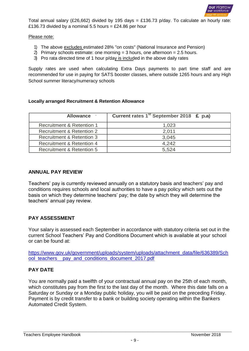

Total annual salary (£26,662) divided by 195 days = £136.73 p/day. To calculate an hourly rate: £136.73 divided by a nominal 5.5 hours = £24.86 per hour

#### Please note:

- 1) The above excludes estimated 28% "on costs" (National Insurance and Pension)
- 2) Primary schools estimate: one morning  $=$  3 hours, one afternoon  $=$  2.5 hours.
- 3) Pro rata directed time of 1 hour p/day is included in the above daily rates

Supply rates are used when calculating Extra Days payments to part time staff and are recommended for use in paying for SATS booster classes, where outside 1265 hours and any High School summer literacy/numeracy schools

#### **Locally arranged Recruitment & Retention Allowance**

| Allowance -                          | Current rates 1 <sup>st</sup> September 2018 £ p.a) |
|--------------------------------------|-----------------------------------------------------|
| <b>Recruitment &amp; Retention 1</b> | 1,023                                               |
| Recruitment & Retention 2            | 2,011                                               |
| <b>Recruitment &amp; Retention 3</b> | 3.045                                               |
| <b>Recruitment &amp; Retention 4</b> | 4,242                                               |
| <b>Recruitment &amp; Retention 5</b> | 5.524                                               |

#### **ANNUAL PAY REVIEW**

Teachers' pay is currently reviewed annually on a statutory basis and teachers' pay and conditions requires schools and local authorities to have a pay policy which sets out the basis on which they determine teachers' pay; the date by which they will determine the teachers' annual pay review.

#### **PAY ASSESSMENT**

Your salary is assessed each September in accordance with statutory criteria set out in the current School Teachers' Pay and Conditions Document which is available at your school or can be found at:

[https://www.gov.uk/government/uploads/system/uploads/attachment\\_data/file/636389/Sch](https://www.gov.uk/government/uploads/system/uploads/attachment_data/file/636389/School_teachers__pay_and_conditions_document_2017.pdf) [ool\\_teachers\\_\\_pay\\_and\\_conditions\\_document\\_2017.pdf](https://www.gov.uk/government/uploads/system/uploads/attachment_data/file/636389/School_teachers__pay_and_conditions_document_2017.pdf)

#### **PAY DATE**

You are normally paid a twelfth of your contractual annual pay on the 25th of each month, which constitutes pay from the first to the last day of the month. Where this date falls on a Saturday or Sunday or a Monday public holiday, you will be paid on the preceding Friday. Payment is by credit transfer to a bank or building society operating within the Bankers Automated Credit System.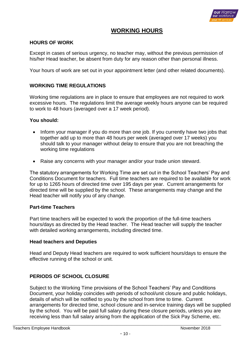

# **WORKING HOURS**

#### **HOURS OF WORK**

Except in cases of serious urgency, no teacher may, without the previous permission of his/her Head teacher, be absent from duty for any reason other than personal illness.

Your hours of work are set out in your appointment letter (and other related documents).

#### **WORKING TIME REGULATIONS**

Working time regulations are in place to ensure that employees are not required to work excessive hours. The regulations limit the average weekly hours anyone can be required to work to 48 hours (averaged over a 17 week period).

#### **You should:**

- Inform your manager if you do more than one job. If you currently have two jobs that together add up to more than 48 hours per week (averaged over 17 weeks) you should talk to your manager without delay to ensure that you are not breaching the working time regulations
- Raise any concerns with your manager and/or your trade union steward.

The statutory arrangements for Working Time are set out in the School Teachers' Pay and Conditions Document for teachers. Full time teachers are required to be available for work for up to 1265 hours of directed time over 195 days per year. Current arrangements for directed time will be supplied by the school. These arrangements may change and the Head teacher will notify you of any change.

#### **Part-time Teachers**

Part time teachers will be expected to work the proportion of the full-time teachers hours/days as directed by the Head teacher. The Head teacher will supply the teacher with detailed working arrangements, including directed time.

#### **Head teachers and Deputies**

Head and Deputy Head teachers are required to work sufficient hours/days to ensure the effective running of the school or unit.

#### **PERIODS OF SCHOOL CLOSURE**

Subject to the Working Time provisions of the School Teachers' Pay and Conditions Document, your holiday coincides with periods of school/unit closure and public holidays, details of which will be notified to you by the school from time to time. Current arrangements for directed time, school closure and in-service training days will be supplied by the school. You will be paid full salary during these closure periods, unless you are receiving less than full salary arising from the application of the Sick Pay Scheme, etc.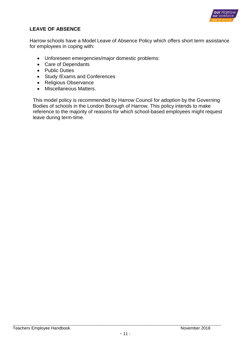

# **LEAVE OF ABSENCE**

Harrow schools have a Model Leave of Absence Policy which offers short term assistance for employees in coping with:

- Unforeseen emergencies/major domestic problems:
- Care of Dependants
- Public Duties
- Study /Exams and Conferences
- Religious Observance
- Miscellaneous Matters.

This model policy is recommended by Harrow Council for adoption by the Governing Bodies of schools in the London Borough of Harrow. This policy intends to make reference to the majority of reasons for which school-based employees might request leave during term-time.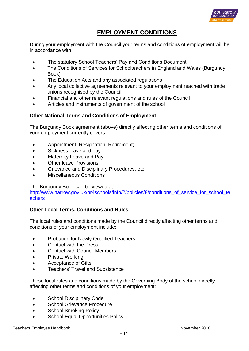

# **EMPLOYMENT CONDITIONS**

During your employment with the Council your terms and conditions of employment will be in accordance with

- The statutory School Teachers' Pay and Conditions Document
- The Conditions of Services for Schoolteachers in England and Wales (Burgundy Book)
- The Education Acts and any associated regulations
- Any local collective agreements relevant to your employment reached with trade unions recognised by the Council
- Financial and other relevant regulations and rules of the Council
- Articles and instruments of government of the school

## **Other National Terms and Conditions of Employment**

The Burgundy Book agreement (above) directly affecting other terms and conditions of your employment currently covers:

- Appointment; Resignation; Retirement;
- Sickness leave and pay
- Maternity Leave and Pay
- Other leave Provisions
- **Grievance and Disciplinary Procedures, etc.**
- Miscellaneous Conditions

#### The Burgundy Book can be viewed at

http://www.harrow.gov.uk/hr4schools/info/2/policies/8/conditions of service for school te [achers](http://www.harrow.gov.uk/hr4schools/info/2/policies/8/conditions_of_service_for_school_teachers)

## **Other Local Terms, Conditions and Rules**

The local rules and conditions made by the Council directly affecting other terms and conditions of your employment include:

- Probation for Newly Qualified Teachers
- **Contact with the Press**
- Contact with Council Members
- Private Working
- Acceptance of Gifts
- Teachers' Travel and Subsistence

Those local rules and conditions made by the Governing Body of the school directly affecting other terms and conditions of your employment:

- School Disciplinary Code
- School Grievance Procedure
- School Smoking Policy
- School Equal Opportunities Policy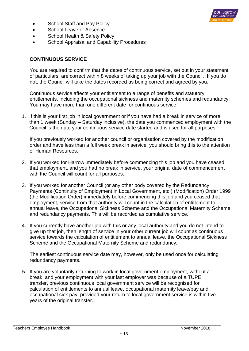• School Staff and Pay Policy



- School Leave of Absence
- School Health & Safety Policy
- School Appraisal and Capability Procedures

# **CONTINUOUS SERVICE**

You are required to confirm that the dates of continuous service, set out in your statement of particulars, are correct within 8 weeks of taking up your job with the Council. If you do not, the Council will take the dates recorded as being correct and agreed by you.

Continuous service affects your entitlement to a range of benefits and statutory entitlements, including the occupational sickness and maternity schemes and redundancy. You may have more than one different date for continuous service.

1. If this is your first job in local government or if you have had a break in service of more than 1 week (Sunday – Saturday inclusive), the date you commenced employment with the Council is the date your continuous service date started and is used for all purposes.

If you previously worked for another council or organisation covered by the modification order and have less than a full week break in service, you should bring this to the attention of Human Resources.

- 2. If you worked for Harrow immediately before commencing this job and you have ceased that employment, and you had no break in service, your original date of commencement with the Council will count for all purposes.
- 3. If you worked for another Council (or any other body covered by the Redundancy Payments (Continuity of Employment in Local Government, etc.) (Modification) Order 1999 (the Modification Order) immediately before commencing this job and you ceased that employment, service from that authority will count in the calculation of entitlement to annual leave, the Occupational Sickness Scheme and the Occupational Maternity Scheme and redundancy payments. This will be recorded as cumulative service.
- 4. If you currently have another job with this or any local authority and you do not intend to give up that job, then length of service in your other current job will count as continuous service towards the calculation of entitlement to annual leave, the Occupational Sickness Scheme and the Occupational Maternity Scheme and redundancy.

The earliest continuous service date may, however, only be used once for calculating redundancy payments.

5. If you are voluntarily returning to work in local government employment, without a break, and your employment with your last employer was because of a TUPE transfer, previous continuous local government service will be recognised for calculation of entitlements to annual leave, occupational maternity leave/pay and occupational sick pay, provided your return to local government service is within five years of the original transfer.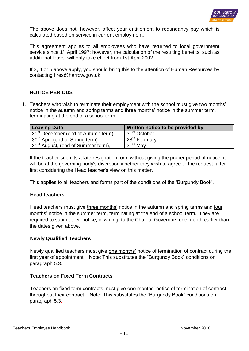

The above does not, however, affect your entitlement to redundancy pay which is calculated based on service in current employment.

This agreement applies to all employees who have returned to local government service since  $1<sup>st</sup>$  April 1997; however, the calculation of the resulting benefits, such as additional leave, will only take effect from 1st April 2002.

If 3, 4 or 5 above apply, you should bring this to the attention of Human Resources by contacting hres@harrow.gov.uk.

# **NOTICE PERIODS**

1. Teachers who wish to terminate their employment with the school must give two months' notice in the autumn and spring terms and three months' notice in the summer term, terminating at the end of a school term.

| <b>Leaving Date</b>                            | Written notice to be provided by |
|------------------------------------------------|----------------------------------|
| 31 <sup>st</sup> December (end of Autumn term) | l 31 <sup>st</sup> October       |
| 30 <sup>th</sup> April (end of Spring term)    | 28 <sup>th</sup> February        |
| 31 <sup>st</sup> August, (end of Summer term), | 31 <sup>st</sup> May             |

If the teacher submits a late resignation form without giving the proper period of notice, it will be at the governing body's discretion whether they wish to agree to the request, after first considering the Head teacher's view on this matter.

This applies to all teachers and forms part of the conditions of the 'Burgundy Book'.

#### **Head teachers**

Head teachers must give three months' notice in the autumn and spring terms and four months' notice in the summer term, terminating at the end of a school term. They are required to submit their notice, in writing, to the Chair of Governors one month earlier than the dates given above.

## **Newly Qualified Teachers**

Newly qualified teachers must give one months' notice of termination of contract during the first year of appointment. Note: This substitutes the "Burgundy Book" conditions on paragraph 5.3.

## **Teachers on Fixed Term Contracts**

Teachers on fixed term contracts must give one months' notice of termination of contract throughout their contract. Note: This substitutes the "Burgundy Book" conditions on paragraph 5.3.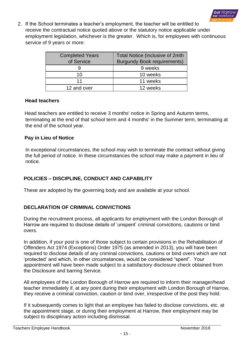

2. If the School terminates a teacher's employment, the teacher will be entitled to receive the contractual notice quoted above or the statutory notice applicable under employment legislation, whichever is the greater. Which is, for employees with continuous service of 9 years or more:

| <b>Completed Years</b><br>of Service | Total Notice (inclusive of 2mth<br><b>Burgundy Book requirements)</b> |
|--------------------------------------|-----------------------------------------------------------------------|
|                                      | 9 weeks                                                               |
| 10                                   | 10 weeks                                                              |
| 11                                   | 11 weeks                                                              |
| 12 and over                          | 12 weeks                                                              |

## **Head teachers**

Head teachers are entitled to receive 3 months' notice in Spring and Autumn terms, terminating at the end of that school term and 4 months' in the Summer term, terminating at the end of the school year.

#### **Pay in Lieu of Notice**

In exceptional circumstances, the school may wish to terminate the contract without giving the full period of notice. In these circumstances the school may make a payment in lieu of notice.

# **POLICIES – DISCIPLINE, CONDUCT AND CAPABILITY**

These are adopted by the governing body and are available at your school.

# **DECLARATION OF CRIMINAL CONVICTIONS**

During the recruitment process, all applicants for employment with the London Borough of Harrow are required to disclose details of 'unspent' criminal convictions, cautions or bind overs.

In addition, if your post is one of those subject to certain provisions in the Rehabilitation of Offenders Act 1974 (Exceptions) Order 1975 (as amended in 2013), you will have been required to disclose details of any criminal convictions, cautions or bind overs which are not 'protected' and which, in other circumstances, would be considered "spent". Your appointment will have been made subject to a satisfactory disclosure check obtained from the Disclosure and barring Service.

All employees of the London Borough of Harrow are required to inform their manager/head teacher immediately if, at any point during their employment with London Borough of Harrow, they receive a criminal conviction, caution or bind over, irrespective of the post they hold.

If it subsequently comes to light that an employee has failed to disclose convictions, etc. at the appointment stage, or during their employment at Harrow, their employment may be subject to disciplinary action including dismissal.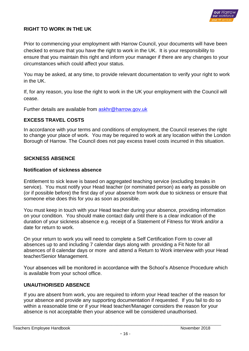

## **RIGHT TO WORK IN THE UK**

Prior to commencing your employment with Harrow Council, your documents will have been checked to ensure that you have the right to work in the UK. It is your responsibility to ensure that you maintain this right and inform your manager if there are any changes to your circumstances which could affect your status.

You may be asked, at any time, to provide relevant documentation to verify your right to work in the UK.

If, for any reason, you lose the right to work in the UK your employment with the Council will cease.

Further details are available from [askhr@harrow.gov.uk](mailto:askhr@harrow.gov.uk)

#### **EXCESS TRAVEL COSTS**

In accordance with your terms and conditions of employment, the Council reserves the right to change your place of work. You may be required to work at any location within the London Borough of Harrow. The Council does not pay excess travel costs incurred in this situation.

#### **SICKNESS ABSENCE**

#### **Notification of sickness absence**

Entitlement to sick leave is based on aggregated teaching service (excluding breaks in service). You must notify your Head teacher (or nominated person) as early as possible on (or if possible before) the first day of your absence from work due to sickness or ensure that someone else does this for you as soon as possible.

You must keep in touch with your Head teacher during your absence, providing information on your condition. You should make contact daily until there is a clear indication of the duration of your sickness absence e.g. receipt of a Statement of Fitness for Work and/or a date for return to work.

On your return to work you will need to complete a Self Certification Form to cover all absences up to and including 7 calendar days along with providing a Fit Note for all absences of 8 calendar days or more and attend a Return to Work interview with your Head teacher/Senior Management.

Your absences will be monitored in accordance with the School's Absence Procedure which is available from your school office.

#### **UNAUTHORISED ABSENCE**

If you are absent from work, you are required to inform your Head teacher of the reason for your absence and provide any supporting documentation if requested. If you fail to do so within a reasonable time or if your Head teacher/Manager considers the reason for your absence is not acceptable then your absence will be considered unauthorised.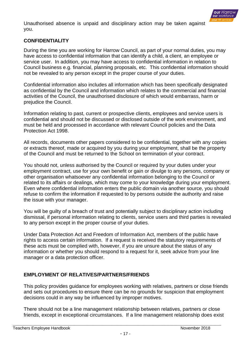

Unauthorised absence is unpaid and disciplinary action may be taken against you.

## **CONFIDENTIALITY**

During the time you are working for Harrow Council, as part of your normal duties, you may have access to confidential information that can identify a child, a client, an employee or service user. In addition, you may have access to confidential information in relation to Council business e.g. financial, planning proposals, etc. This confidential information should not be revealed to any person except in the proper course of your duties.

Confidential information also includes all information which has been specifically designated as confidential by the Council and information which relates to the commercial and financial activities of the Council, the unauthorised disclosure of which would embarrass, harm or prejudice the Council.

Information relating to past, current or prospective clients, employees and service users is confidential and should not be discussed or disclosed outside of the work environment, and must be held and processed in accordance with relevant Council policies and the Data Protection Act 1998.

All records, documents other papers considered to be confidential, together with any copies or extracts thereof, made or acquired by you during your employment, shall be the property of the Council and must be returned to the School on termination of your contract.

You should not, unless authorised by the Council or required by your duties under your employment contract, use for your own benefit or gain or divulge to any persons, company or other organisation whatsoever any confidential information belonging to the Council or related to its affairs or dealings, which may come to your knowledge during your employment. Even where confidential information enters the public domain via another source, you should refuse to confirm the information if requested to by persons outside the authority and raise the issue with your manager.

You will be guilty of a breach of trust and potentially subject to disciplinary action including dismissal, if personal information relating to clients, service users and third parties is revealed to any person except in the proper course of your duties.

Under Data Protection Act and Freedom of Information Act, members of the public have rights to access certain information. If a request is received the statutory requirements of these acts must be complied with, however, if you are unsure about the status of any information or whether you should respond to a request for it, seek advice from your line manager or a data protection officer.

## **EMPLOYMENT OF RELATIVES/PARTNERS/FRIENDS**

This policy provides guidance for employees working with relatives, partners or close friends and sets out procedures to ensure there can be no grounds for suspicion that employment decisions could in any way be influenced by improper motives.

There should not be a line management relationship between relatives, partners or close friends, except in exceptional circumstances. If a line management relationship does exist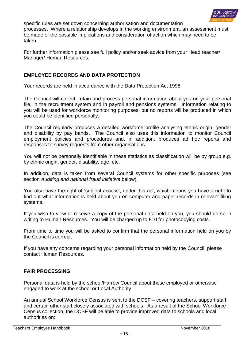

specific rules are set down concerning authorisation and documentation processes. Where a relationship develops in the working environment, an assessment must be made of the possible implications and consideration of action which may need to be taken.

For further information please see full policy and/or seek advice from your Head teacher/ Manager/ Human Resources.

## **EMPLOYEE RECORDS AND DATA PROTECTION**

Your records are held in accordance with the Data Protection Act 1998.

The Council will collect, retain and process personal information about you on your personal file, in the recruitment system and in payroll and pensions systems. Information relating to you will be used for workforce monitoring purposes, but no reports will be produced in which you could be identified personally.

The Council regularly produces a detailed workforce profile analysing ethnic origin, gender and disability by pay bands. The Council also uses this information to monitor Council employment policies and procedures and, in addition, produces ad hoc reports and responses to survey requests from other organisations.

You will not be personally identifiable in these statistics as classification will be by group e.g. by ethnic origin, gender, disability, age, etc.

In addition, data is taken from several Council systems for other specific purposes (see section *Auditing and national fraud initiative* below).

You also have the right of 'subject access', under this act, which means you have a right to find out what information is held about you on computer and paper records in relevant filing systems.

If you wish to view or receive a copy of the personal data held on you, you should do so in writing to Human Resources. You will be charged up to £10 for photocopying costs.

From time to time you will be asked to confirm that the personal information held on you by the Council is correct.

If you have any concerns regarding your personal information held by the Council, please contact Human Resources.

## **FAIR PROCESSING**

Personal data is held by the school/Harrow Council about those employed or otherwise engaged to work at the school or Local Authority

An annual School Workforce Census is sent to the DCSF – covering teachers, support staff and certain other staff closely associated with schools. As a result of the School Workforce Census collection, the DCSF will be able to provide improved data to schools and local authorities on: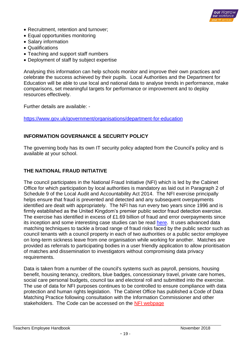

- Recruitment, retention and turnover;
- Equal opportunities monitoring
- Salary information
- Qualifications
- Teaching and support staff numbers
- Deployment of staff by subject expertise

Analysing this information can help schools monitor and improve their own practices and celebrate the success achieved by their pupils. Local Authorities and the Department for Education will be able to use local and national data to analyse trends in performance, make comparisons, set meaningful targets for performance or improvement and to deploy resources effectively.

Further details are available: -

<https://www.gov.uk/government/organisations/department-for-education>

#### **INFORMATION GOVERNANCE & SECURITY POLICY**

The governing body has its own IT security policy adapted from the Council's policy and is available at your school.

## **THE NATIONAL FRAUD INITIATIVE**

The council participates in the National Fraud Initiative (NFI) which is led by the Cabinet Office for which participation by local authorities is mandatory as laid out in Paragraph 2 of Schedule 9 of the [Local Audit and Accountability Act 2014.](http://www.legislation.gov.uk/ukpga/2014/2/schedule/9/enacted) The NFI exercise principally helps ensure that fraud is prevented and detected and any subsequent overpayments identified are dealt with appropriately. The NFI has run every two years since 1996 and is firmly established as the United Kingdom's premier public sector fraud detection exercise. The exercise has identified in excess of £1.69 billion of fraud and error overpayments since its inception and some interesting case studies can be read [here.](https://www.gov.uk/government/publications/national-fraud-initiative-case-studies) It uses advanced data matching techniques to tackle a broad range of fraud risks faced by the public sector such as council tenants with a council property in each of two authorities or a public sector employee on long-term sickness leave from one organisation while working for another. Matches are provided as referrals to participating bodies in a user friendly application to allow prioritisation of matches and dissemination to investigators without compromising data privacy requirements.

Data is taken from a number of the council's systems such as payroll, pensions, housing benefit, housing tenancy, creditors, blue badges, concessionary travel, private care homes, social care personal budgets, council tax and electoral roll and submitted into the exercise. The use of data for NFI purposes continues to be controlled to ensure compliance with data protection and human rights legislation. The Cabinet Office has published a Code of Data Matching Practice following consultation with the Information Commissioner and other stakeholders. The Code can be accessed on the [NFI webpage](https://www.gov.uk/government/collections/national-fraud-initiative)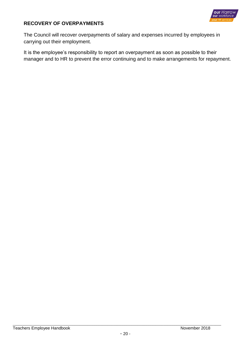

# **RECOVERY OF OVERPAYMENTS**

The Council will recover overpayments of salary and expenses incurred by employees in carrying out their employment.

It is the employee's responsibility to report an overpayment as soon as possible to their manager and to HR to prevent the error continuing and to make arrangements for repayment.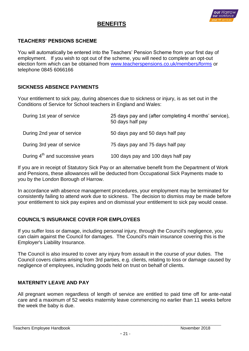# **BENEFITS**



# **TEACHERS' PENSIONS SCHEME**

You will automatically be entered into the Teachers' Pension Scheme from your first day of employment. If you wish to opt out of the scheme, you will need to complete an opt-out election form which can be obtained from [www.teacherspensions.co.uk/members/forms](http://www.teacherspensions.co.uk/members/forms) or telephone 0845 6066166

#### **SICKNESS ABSENCE PAYMENTS**

Your entitlement to sick pay, during absences due to sickness or injury, is as set out in the Conditions of Service for School teachers in England and Wales:

| During 1st year of service                  | 25 days pay and (after completing 4 months' service),<br>50 days half pay |
|---------------------------------------------|---------------------------------------------------------------------------|
| During 2nd year of service                  | 50 days pay and 50 days half pay                                          |
| During 3rd year of service                  | 75 days pay and 75 days half pay                                          |
| During 4 <sup>th</sup> and successive years | 100 days pay and 100 days half pay                                        |

If you are in receipt of Statutory Sick Pay or an alternative benefit from the Department of Work and Pensions, these allowances will be deducted from Occupational Sick Payments made to you by the London Borough of Harrow.

In accordance with absence management procedures, your employment may be terminated for consistently failing to attend work due to sickness. The decision to dismiss may be made before your entitlement to sick pay expires and on dismissal your entitlement to sick pay would cease.

## **COUNCIL'S INSURANCE COVER FOR EMPLOYEES**

If you suffer loss or damage, including personal injury, through the Council's negligence, you can claim against the Council for damages. The Council's main insurance covering this is the Employer's Liability Insurance.

The Council is also insured to cover any injury from assault in the course of your duties. The Council covers claims arising from 3rd parties, e.g. clients, relating to loss or damage caused by negligence of employees, including goods held on trust on behalf of clients.

## **MATERNITY LEAVE AND PAY**

All pregnant women regardless of length of service are entitled to paid time off for ante-natal care and a maximum of 52 weeks maternity leave commencing no earlier than 11 weeks before the week the baby is due.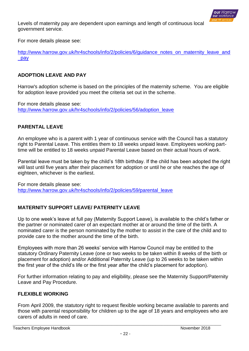

Levels of maternity pay are dependent upon earnings and length of continuous local government service.

For more details please see:

[http://www.harrow.gov.uk/hr4schools/info/2/policies/6/guidance\\_notes\\_on\\_maternity\\_leave\\_and](http://www.harrow.gov.uk/hr4schools/info/2/policies/6/guidance_notes_on_maternity_leave_and_pay) [\\_pay](http://www.harrow.gov.uk/hr4schools/info/2/policies/6/guidance_notes_on_maternity_leave_and_pay)

## **ADOPTION LEAVE AND PAY**

Harrow's adoption scheme is based on the principles of the maternity scheme. You are eligible for adoption leave provided you meet the criteria set out in the scheme.

For more details please see: [http://www.harrow.gov.uk/hr4schools/info/2/policies/56/adoption\\_leave](http://www.harrow.gov.uk/hr4schools/info/2/policies/56/adoption_leave)

# **PARENTAL LEAVE**

An employee who is a parent with 1 year of continuous service with the Council has a statutory right to Parental Leave. This entitles them to 18 weeks unpaid leave. Employees working parttime will be entitled to 18 weeks unpaid Parental Leave based on their actual hours of work.

Parental leave must be taken by the child's 18th birthday. If the child has been adopted the right will last until five years after their placement for adoption or until he or she reaches the age of eighteen, whichever is the earliest.

For more details please see: [http://www.harrow.gov.uk/hr4schools/info/2/policies/59/parental\\_leave](http://www.harrow.gov.uk/hr4schools/info/2/policies/59/parental_leave)

# **MATERNITY SUPPORT LEAVE/ PATERNITY LEAVE**

Up to one week's leave at full pay (Maternity Support Leave), is available to the child's father or the partner or nominated carer of an expectant mother at or around the time of the birth. A nominated carer is the person nominated by the mother to assist in the care of the child and to provide care to the mother around the time of the birth.

Employees with more than 26 weeks' service with Harrow Council may be entitled to the statutory Ordinary Paternity Leave (one or two weeks to be taken within 8 weeks of the birth or placement for adoption) and/or Additional Paternity Leave (up to 26 weeks to be taken within the first year of the child's life or the first year after the child's placement for adoption).

For further information relating to pay and eligibility, please see the Maternity Support/Paternity Leave and Pay Procedure.

## **FLEXIBLE WORKING**

From April 2009, the statutory right to request flexible working became available to parents and those with parental responsibility for children up to the age of 18 years and employees who are carers of adults in need of care.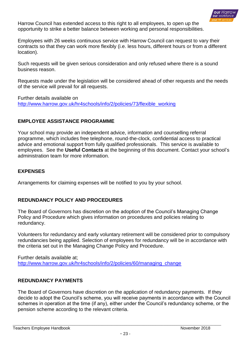

Harrow Council has extended access to this right to all employees, to open up the opportunity to strike a better balance between working and personal responsibilities.

Employees with 26 weeks continuous service with Harrow Council can request to vary their contracts so that they can work more flexibly (i.e. less hours, different hours or from a different location).

Such requests will be given serious consideration and only refused where there is a sound business reason.

Requests made under the legislation will be considered ahead of other requests and the needs of the service will prevail for all requests.

Further details available on [http://www.harrow.gov.uk/hr4schools/info/2/policies/73/flexible\\_working](http://www.harrow.gov.uk/hr4schools/info/2/policies/73/flexible_working)

# **EMPLOYEE ASSISTANCE PROGRAMME**

Your school may provide an independent advice, information and counselling referral programme, which includes free telephone, round-the-clock, confidential access to practical advice and emotional support from fully qualified professionals. This service is available to employees. See the **Useful Contacts** at the beginning of this document. Contact your school's administration team for more information.

## **EXPENSES**

Arrangements for claiming expenses will be notified to you by your school.

## <span id="page-22-0"></span>**REDUNDANCY POLICY AND PROCEDURES**

The Board of Governors has discretion on the adoption of the Council's Managing Change Policy and Procedure which gives information on procedures and policies relating to redundancy.

Volunteers for redundancy and early voluntary retirement will be considered prior to compulsory redundancies being applied. Selection of employees for redundancy will be in accordance with the criteria set out in the Managing Change Policy and Procedure.

Further details available at; [http://www.harrow.gov.uk/hr4schools/info/2/policies/60/managing\\_change](http://www.harrow.gov.uk/hr4schools/info/2/policies/60/managing_change)

# <span id="page-22-1"></span>**REDUNDANCY PAYMENTS**

The Board of Governors have discretion on the application of redundancy payments. If they decide to adopt the Council's scheme, you will receive payments in accordance with the Council schemes in operation at the time (if any), either under the Council's redundancy scheme, or the pension scheme according to the relevant criteria.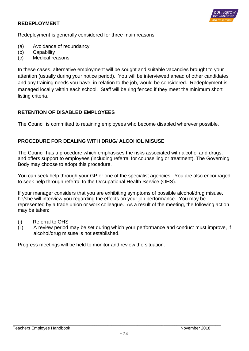#### <span id="page-23-0"></span>**REDEPLOYMENT**



Redeployment is generally considered for three main reasons:

- (a) Avoidance of redundancy
- (b) Capability
- (c) Medical reasons

In these cases, alternative employment will be sought and suitable vacancies brought to your attention (usually during your notice period). You will be interviewed ahead of other candidates and any training needs you have, in relation to the job, would be considered. Redeployment is managed locally within each school. Staff will be ring fenced if they meet the minimum short listing criteria.

## <span id="page-23-1"></span>**RETENTION OF DISABLED EMPLOYEES**

The Council is committed to retaining employees who become disabled wherever possible.

#### <span id="page-23-2"></span>**PROCEDURE FOR DEALING WITH DRUG/ ALCOHOL MISUSE**

The Council has a procedure which emphasises the risks associated with alcohol and drugs; and offers support to employees (including referral for counselling or treatment). The Governing Body may choose to adopt this procedure.

You can seek help through your GP or one of the specialist agencies. You are also encouraged to seek help through referral to the Occupational Health Service (OHS).

If your manager considers that you are exhibiting symptoms of possible alcohol/drug misuse, he/she will interview you regarding the effects on your job performance. You may be represented by a trade union or work colleague. As a result of the meeting, the following action may be taken:

- (i) Referral to OHS
- (ii) A review period may be set during which your performance and conduct must improve, if alcohol/drug misuse is not established.

Progress meetings will be held to monitor and review the situation.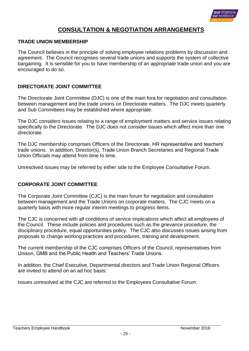

# **CONSULTATION & NEGOTIATION ARRANGEMENTS**

#### **TRADE UNION MEMBERSHIP**

The Council believes in the principle of solving employee relations problems by discussion and agreement. The Council recognises several trade unions and supports the system of collective bargaining. It is sensible for you to have membership of an appropriate trade union and you are encouraged to do so.

#### **DIRECTORATE JOINT COMMITTEE**

The Directorate Joint Committee (DJC) is one of the main fora for negotiation and consultation between management and the trade unions on Directorate matters. The DJC meets quarterly and Sub Committees may be established where appropriate.

The DJC considers issues relating to a range of employment matters and service issues relating specifically to the Directorate. The DJC does not consider issues which affect more than one directorate.

The DJC membership comprises Officers of the Directorate, HR representative and teachers' trade unions. In addition, Director(s), Trade Union Branch Secretaries and Regional Trade Union Officials may attend from time to time.

Unresolved issues may be referred by either side to the Employee Consultative Forum.

## **CORPORATE JOINT COMMITTEE**

The Corporate Joint Committee (CJC) is the main forum for negotiation and consultation between management and the Trade Unions on corporate matters. The CJC meets on a quarterly basis with more regular interim meetings to progress items.

The CJC is concerned with all conditions of service implications which affect all employees of the Council. These include policies and procedures such as the grievance procedure, the disciplinary procedure, equal opportunities policy. The CJC also discusses issues arising from proposals to change working practices and procedures, training and development.

The current membership of the CJC comprises Officers of the Council, representatives from Unison, GMB and the Public Health and Teachers' Trade Unions.

In addition, the Chief Executive, Departmental directors and Trade Union Regional Officers are invited to attend on an ad hoc basis:

Issues unresolved at the CJC are referred to the Employees Consultative Forum.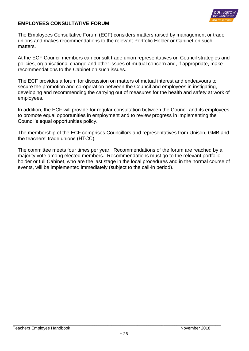

## **EMPLOYEES CONSULTATIVE FORUM**

The Employees Consultative Forum (ECF) considers matters raised by management or trade unions and makes recommendations to the relevant Portfolio Holder or Cabinet on such matters.

At the ECF Council members can consult trade union representatives on Council strategies and policies, organisational change and other issues of mutual concern and, if appropriate, make recommendations to the Cabinet on such issues.

The ECF provides a forum for discussion on matters of mutual interest and endeavours to secure the promotion and co-operation between the Council and employees in instigating, developing and recommending the carrying out of measures for the health and safety at work of employees.

In addition, the ECF will provide for regular consultation between the Council and its employees to promote equal opportunities in employment and to review progress in implementing the Council's equal opportunities policy.

The membership of the ECF comprises Councillors and representatives from Unison, GMB and the teachers' trade unions (HTCC),

The committee meets four times per year. Recommendations of the forum are reached by a majority vote among elected members. Recommendations must go to the relevant portfolio holder or full Cabinet, who are the last stage in the local procedures and in the normal course of events, will be implemented immediately (subject to the call-in period).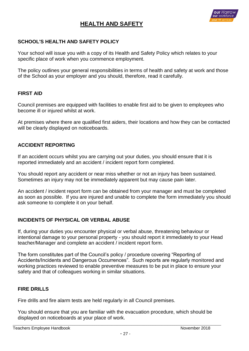# **HEALTH AND SAFETY**



## **SCHOOL'S HEALTH AND SAFETY POLICY**

Your school will issue you with a copy of its Health and Safety Policy which relates to your specific place of work when you commence employment.

The policy outlines your general responsibilities in terms of health and safety at work and those of the School as your employer and you should, therefore, read it carefully.

#### **FIRST AID**

Council premises are equipped with facilities to enable first aid to be given to employees who become ill or injured whilst at work.

At premises where there are qualified first aiders, their locations and how they can be contacted will be clearly displayed on noticeboards.

#### **ACCIDENT REPORTING**

If an accident occurs whilst you are carrying out your duties, you should ensure that it is reported immediately and an accident / incident report form completed.

You should report any accident or near miss whether or not an injury has been sustained. Sometimes an injury may not be immediately apparent but may cause pain later.

An accident / incident report form can be obtained from your manager and must be completed as soon as possible. If you are injured and unable to complete the form immediately you should ask someone to complete it on your behalf.

#### **INCIDENTS OF PHYSICAL OR VERBAL ABUSE**

If, during your duties you encounter physical or verbal abuse, threatening behaviour or intentional damage to your personal property - you should report it immediately to your Head teacher/Manager and complete an accident / incident report form.

The form constitutes part of the Council's policy / procedure covering "Reporting of Accidents/Incidents and Dangerous Occurrences". Such reports are regularly monitored and working practices reviewed to enable preventive measures to be put in place to ensure your safety and that of colleagues working in similar situations.

#### **FIRE DRILLS**

Fire drills and fire alarm tests are held regularly in all Council premises.

You should ensure that you are familiar with the evacuation procedure, which should be displayed on noticeboards at your place of work.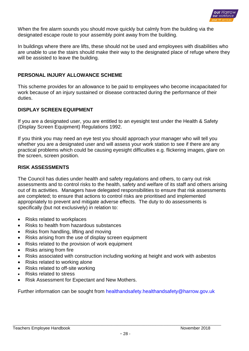

When the fire alarm sounds you should move quickly but calmly from the building via the designated escape route to your assembly point away from the building.

In buildings where there are lifts, these should not be used and employees with disabilities who are unable to use the stairs should make their way to the designated place of refuge where they will be assisted to leave the building.

#### **PERSONAL INJURY ALLOWANCE SCHEME**

This scheme provides for an allowance to be paid to employees who become incapacitated for work because of an injury sustained or disease contracted during the performance of their duties.

#### **DISPLAY SCREEN EQUIPMENT**

If you are a designated user, you are entitled to an eyesight test under the Health & Safety (Display Screen Equipment) Regulations 1992.

If you think you may need an eye test you should approach your manager who will tell you whether you are a designated user and will assess your work station to see if there are any practical problems which could be causing eyesight difficulties e.g. flickering images, glare on the screen, screen position.

#### **RISK ASSESSMENTS**

The Council has duties under health and safety regulations and others, to carry out risk assessments and to control risks to the health, safety and welfare of its staff and others arising out of its activities. Managers have delegated responsibilities to ensure that risk assessments are completed; to ensure that actions to control risks are prioritised and implemented appropriately to prevent and mitigate adverse effects. The duty to do assessments is specifically (but not exclusively) in relation to:

- Risks related to workplaces
- Risks to health from hazardous substances
- Risks from handling, lifting and moving
- Risks arising from the use of display screen equipment
- Risks related to the provision of work equipment
- Risks arising from fire
- Risks associated with construction including working at height and work with asbestos
- Risks related to working alone
- Risks related to off-site working
- Risks related to stress
- Risk Assessment for Expectant and New Mothers.

Further information can be sought from [healthandsafety.healthandsafety@harrow.gov.uk](mailto:healthandsafety.healthandsafety@harrow.gov.uk)